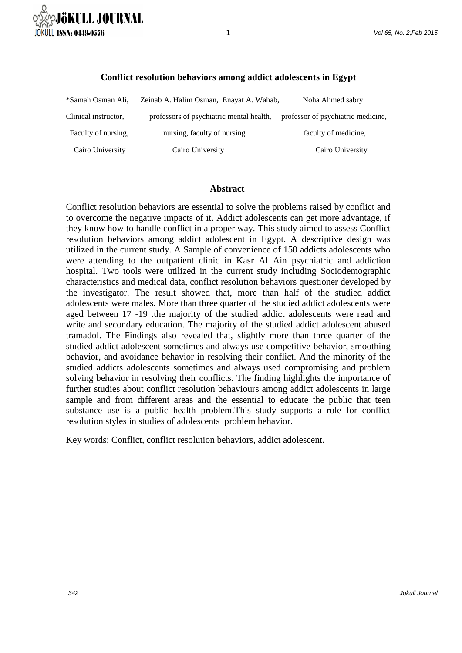

### **Conflict resolution behaviors among addict adolescents in Egypt**

1

| *Samah Osman Ali,    | Zeinab A. Halim Osman, Enayat A. Wahab,  | Noha Ahmed sabry                   |
|----------------------|------------------------------------------|------------------------------------|
| Clinical instructor, | professors of psychiatric mental health, | professor of psychiatric medicine, |
| Faculty of nursing,  | nursing, faculty of nursing              | faculty of medicine,               |
| Cairo University     | Cairo University                         | Cairo University                   |

#### **Abstract**

Conflict resolution behaviors are essential to solve the problems raised by conflict and to overcome the negative impacts of it. Addict adolescents can get more advantage, if they know how to handle conflict in a proper way. This study aimed to assess Conflict resolution behaviors among addict adolescent in Egypt. A descriptive design was utilized in the current study. A Sample of convenience of 150 addicts adolescents who were attending to the outpatient clinic in Kasr Al Ain psychiatric and addiction hospital. Two tools were utilized in the current study including Sociodemographic characteristics and medical data, conflict resolution behaviors questioner developed by the investigator. The result showed that, more than half of the studied addict adolescents were males. More than three quarter of the studied addict adolescents were aged between 17 -19 .the majority of the studied addict adolescents were read and write and secondary education. The majority of the studied addict adolescent abused tramadol. The Findings also revealed that, slightly more than three quarter of the studied addict adolescent sometimes and always use competitive behavior, smoothing behavior, and avoidance behavior in resolving their conflict. And the minority of the studied addicts adolescents sometimes and always used compromising and problem solving behavior in resolving their conflicts. The finding highlights the importance of further studies about conflict resolution behaviours among addict adolescents in large sample and from different areas and the essential to educate the public that teen substance use is a public health problem.This study supports a role for conflict resolution styles in studies of adolescents problem behavior.

Key words: Conflict, conflict resolution behaviors, addict adolescent.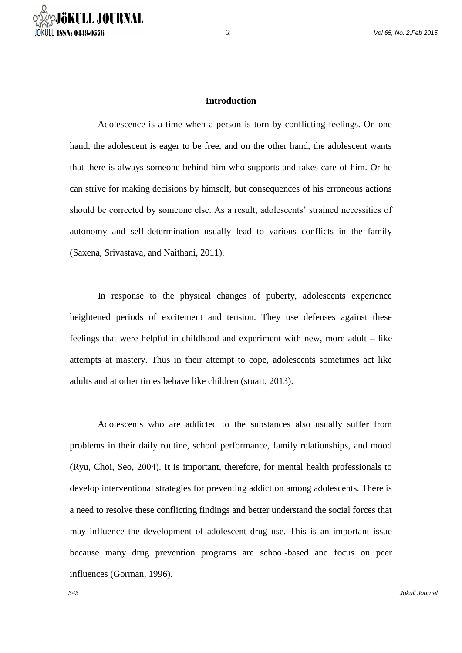

### **Introduction**

Adolescence is a time when a person is torn by conflicting feelings. On one hand, the adolescent is eager to be free, and on the other hand, the adolescent wants that there is always someone behind him who supports and takes care of him. Or he can strive for making decisions by himself, but consequences of his erroneous actions should be corrected by someone else. As a result, adolescents' strained necessities of autonomy and self-determination usually lead to various conflicts in the family (Saxena, Srivastava, and Naithani, 2011).

In response to the physical changes of puberty, adolescents experience heightened periods of excitement and tension. They use defenses against these feelings that were helpful in childhood and experiment with new, more adult – like attempts at mastery. Thus in their attempt to cope, adolescents sometimes act like adults and at other times behave like children (stuart, 2013).

Adolescents who are addicted to the substances also usually suffer from problems in their daily routine, school performance, family relationships, and mood (Ryu, Choi, Seo, 2004). It is important, therefore, for mental health professionals to develop interventional strategies for preventing addiction among adolescents. There is a need to resolve these conflicting findings and better understand the social forces that may influence the development of adolescent drug use. This is an important issue because many drug prevention programs are school-based and focus on peer influences (Gorman, 1996).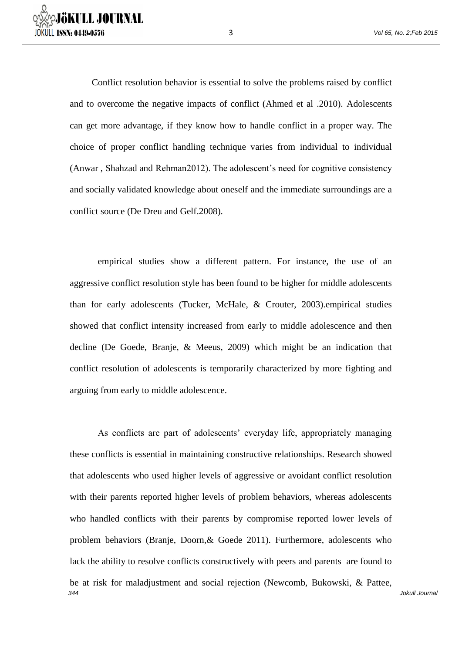Conflict resolution behavior is essential to solve the problems raised by conflict and to overcome the negative impacts of conflict (Ahmed et al .2010). Adolescents can get more advantage, if they know how to handle conflict in a proper way. The choice of proper conflict handling technique varies from individual to individual (Anwar , Shahzad and Rehman2012). The adolescent's need for cognitive consistency and socially validated knowledge about oneself and the immediate surroundings are a conflict source (De Dreu and Gelf.2008).

empirical studies show a different pattern. For instance, the use of an aggressive conflict resolution style has been found to be higher for middle adolescents than for early adolescents (Tucker, McHale, & Crouter, 2003).empirical studies showed that conflict intensity increased from early to middle adolescence and then decline (De Goede, Branje, & Meeus, 2009) which might be an indication that conflict resolution of adolescents is temporarily characterized by more fighting and arguing from early to middle adolescence.

344 Jokull Journal As conflicts are part of adolescents' everyday life, appropriately managing these conflicts is essential in maintaining constructive relationships. Research showed that adolescents who used higher levels of aggressive or avoidant conflict resolution with their parents reported higher levels of problem behaviors, whereas adolescents who handled conflicts with their parents by compromise reported lower levels of problem behaviors (Branje, Doorn,& Goede 2011). Furthermore, adolescents who lack the ability to resolve conflicts constructively with peers and parents are found to be at risk for maladjustment and social rejection (Newcomb, Bukowski, & Pattee,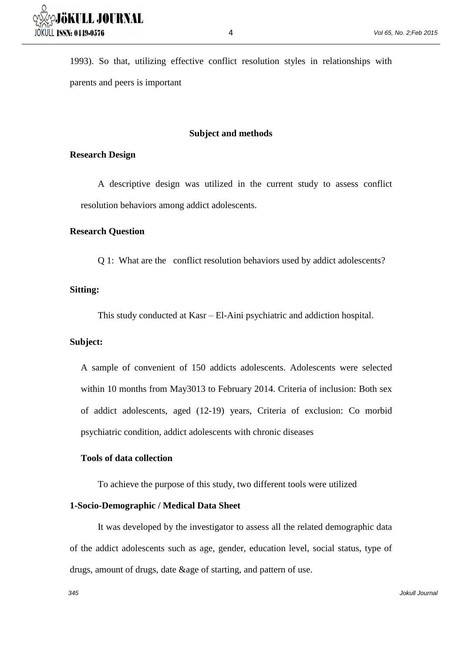1993). So that, utilizing effective conflict resolution styles in relationships with parents and peers is important

# **Subject and methods**

## **Research Design**

A descriptive design was utilized in the current study to assess conflict resolution behaviors among addict adolescents.

### **Research Question**

Q 1: What are the conflict resolution behaviors used by addict adolescents?

## **Sitting:**

This study conducted at Kasr – El-Aini psychiatric and addiction hospital.

## **Subject:**

A sample of convenient of 150 addicts adolescents. Adolescents were selected within 10 months from May3013 to February 2014. Criteria of inclusion: Both sex of addict adolescents, aged (12-19) years, Criteria of exclusion: Co morbid psychiatric condition, addict adolescents with chronic diseases

# **Tools of data collection**

To achieve the purpose of this study, two different tools were utilized

## **1-Socio-Demographic / Medical Data Sheet**

It was developed by the investigator to assess all the related demographic data of the addict adolescents such as age, gender, education level, social status, type of drugs, amount of drugs, date &age of starting, and pattern of use.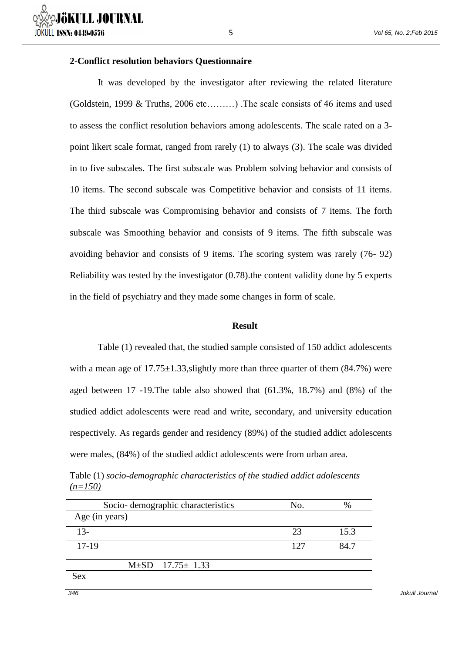## **2-Conflict resolution behaviors Questionnaire**

It was developed by the investigator after reviewing the related literature (Goldstein, 1999 & Truths, 2006 etc.........) . The scale consists of 46 items and used to assess the conflict resolution behaviors among adolescents. The scale rated on a 3 point likert scale format, ranged from rarely (1) to always (3). The scale was divided in to five subscales. The first subscale was Problem solving behavior and consists of 10 items. The second subscale was Competitive behavior and consists of 11 items. The third subscale was Compromising behavior and consists of 7 items. The forth subscale was Smoothing behavior and consists of 9 items. The fifth subscale was avoiding behavior and consists of 9 items. The scoring system was rarely (76- 92) Reliability was tested by the investigator (0.78).the content validity done by 5 experts in the field of psychiatry and they made some changes in form of scale.

5

#### **Result**

Table (1) revealed that, the studied sample consisted of 150 addict adolescents with a mean age of  $17.75 \pm 1.33$ , slightly more than three quarter of them (84.7%) were aged between 17 -19.The table also showed that (61.3%, 18.7%) and (8%) of the studied addict adolescents were read and write, secondary, and university education respectively. As regards gender and residency (89%) of the studied addict adolescents were males, (84%) of the studied addict adolescents were from urban area.

|           | Table (1) socio-demographic characteristics of the studied addict adolescents |  |  |
|-----------|-------------------------------------------------------------------------------|--|--|
| $(n=150)$ |                                                                               |  |  |

| Socio-demographic characteristics | No. | $\%$ |
|-----------------------------------|-----|------|
| Age (in years)                    |     |      |
| $13-$                             | 23  | 15.3 |
| $17-19$                           | 127 | 84.7 |
| $M\pm SD$ 17.75 $\pm$ 1.33        |     |      |
| <b>Sex</b>                        |     |      |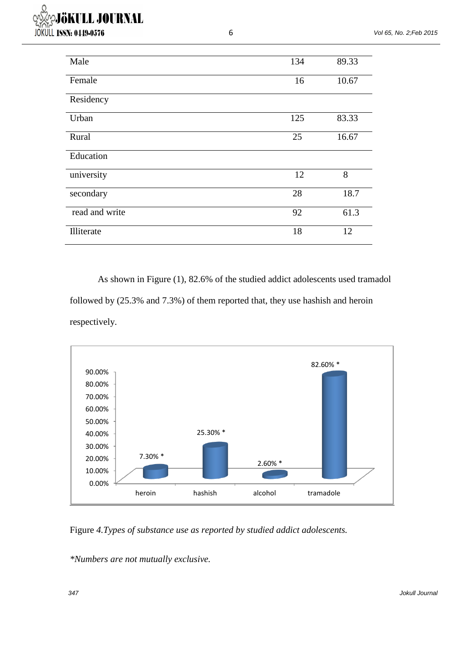| Male           | 134 | 89.33 |
|----------------|-----|-------|
| Female         | 16  | 10.67 |
| Residency      |     |       |
| Urban          | 125 | 83.33 |
| Rural          | 25  | 16.67 |
| Education      |     |       |
| university     | 12  | 8     |
| secondary      | 28  | 18.7  |
| read and write | 92  | 61.3  |
| Illiterate     | 18  | 12    |

6

As shown in Figure (1), 82.6% of the studied addict adolescents used tramadol followed by (25.3% and 7.3%) of them reported that, they use hashish and heroin respectively.



Figure *4.Types of substance use as reported by studied addict adolescents.*

*\*Numbers are not mutually exclusive.*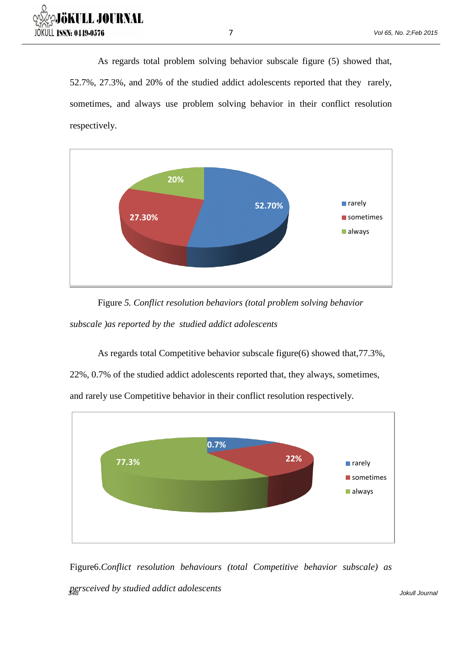

As regards total problem solving behavior subscale figure (5) showed that, 52.7%, 27.3%, and 20% of the studied addict adolescents reported that they rarely, sometimes, and always use problem solving behavior in their conflict resolution respectively.



Figure *5. Conflict resolution behaviors (total problem solving behavior subscale )as reported by the studied addict adolescents*

As regards total Competitive behavior subscale figure(6) showed that,77.3%,

22%, 0.7% of the studied addict adolescents reported that, they always, sometimes,

and rarely use Competitive behavior in their conflict resolution respectively*.* 



Figure6.*Conflict resolution behaviours (total Competitive behavior subscale) as* 

348 Jokull Journal *persceived by studied addict adolescents*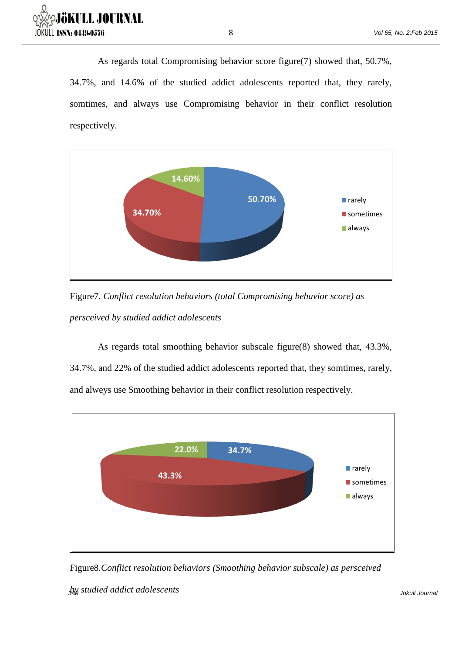

As regards total Compromising behavior score figure(7) showed that, 50.7%, 34.7%, and 14.6% of the studied addict adolescents reported that, they rarely, somtimes, and always use Compromising behavior in their conflict resolution respectively.



Figure7*. Conflict resolution behaviors (total Compromising behavior score) as persceived by studied addict adolescents*

As regards total smoothing behavior subscale figure(8) showed that, 43.3%, 34.7%, and 22% of the studied addict adolescents reported that, they somtimes, rarely, and alweys use Smoothing behavior in their conflict resolution respectively.



Figure8.*Conflict resolution behaviors (Smoothing behavior subscale) as persceived* 

349 Jokull Journal *by studied addict adolescents*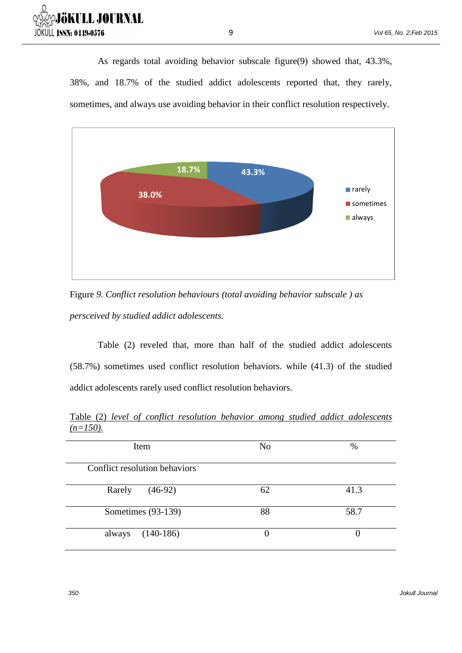

As regards total avoiding behavior subscale figure(9) showed that, 43.3%, 38%, and 18.7% of the studied addict adolescents reported that, they rarely, sometimes, and always use avoiding behavior in their conflict resolution respectively.



Figure *9. Conflict resolution behaviours (total avoiding behavior subscale ) as persceived by studied addict adolescents.*

Table (2) reveled that, more than half of the studied addict adolescents (58.7%) sometimes used conflict resolution behaviors. while (41.3) of the studied addict adolescents rarely used conflict resolution behaviors.

|             |  |  |  |  | Table (2) level of conflict resolution behavior among studied addict adolescents |
|-------------|--|--|--|--|----------------------------------------------------------------------------------|
| $(n=150)$ . |  |  |  |  |                                                                                  |

| Item                          | N <sub>o</sub> | $\%$ |  |  |
|-------------------------------|----------------|------|--|--|
| Conflict resolution behaviors |                |      |  |  |
| $(46-92)$<br>Rarely           | 62             | 41.3 |  |  |
| Sometimes (93-139)            | 88             | 58.7 |  |  |
| $(140-186)$<br>always         | 0              |      |  |  |

350 Jokull Journal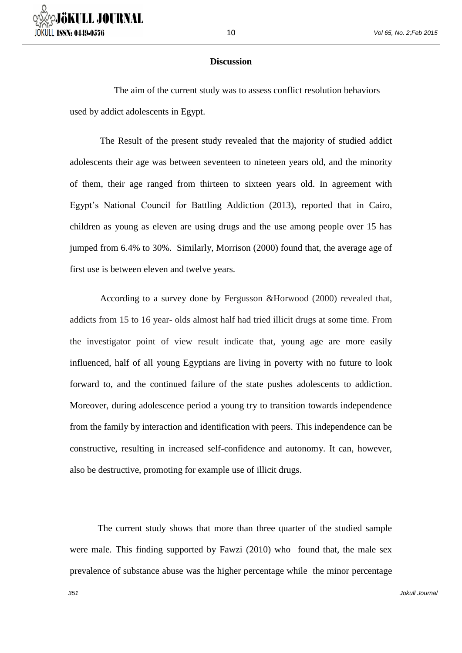10

The aim of the current study was to assess conflict resolution behaviors used by addict adolescents in Egypt.

The Result of the present study revealed that the majority of studied addict adolescents their age was between seventeen to nineteen years old, and the minority of them, their age ranged from thirteen to sixteen years old. In agreement with Egypt's National Council for Battling Addiction (2013), reported that in Cairo, children as young as eleven are using drugs and the use among people over 15 has jumped from 6.4% to 30%. Similarly, Morrison (2000) found that, the average age of first use is between eleven and twelve years.

According to a survey done by Fergusson &Horwood (2000) revealed that, addicts from 15 to 16 year- olds almost half had tried illicit drugs at some time. From the investigator point of view result indicate that, young age are more easily influenced, half of all young Egyptians are living in poverty with no future to look forward to, and the continued failure of the state pushes adolescents to addiction. Moreover, during adolescence period a young try to transition towards independence from the family by interaction and identification with peers. This independence can be constructive, resulting in increased self-confidence and autonomy. It can, however, also be destructive, promoting for example use of illicit drugs.

The current study shows that more than three quarter of the studied sample were male. This finding supported by Fawzi (2010) who found that, the male sex prevalence of substance abuse was the higher percentage while the minor percentage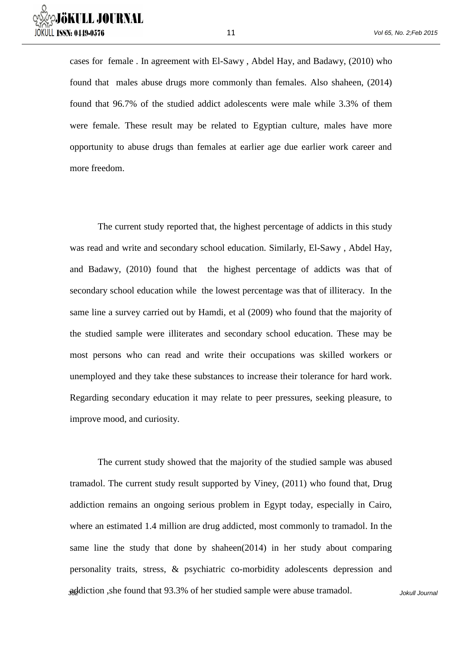

cases for female . In agreement with El-Sawy , Abdel Hay, and Badawy, (2010) who found that males abuse drugs more commonly than females. Also shaheen, (2014) found that 96.7% of the studied addict adolescents were male while 3.3% of them were female. These result may be related to Egyptian culture, males have more opportunity to abuse drugs than females at earlier age due earlier work career and more freedom.

The current study reported that, the highest percentage of addicts in this study was read and write and secondary school education. Similarly, El-Sawy , Abdel Hay, and Badawy, (2010) found that the highest percentage of addicts was that of secondary school education while the lowest percentage was that of illiteracy. In the same line a survey carried out by Hamdi, et al (2009) who found that the majority of the studied sample were illiterates and secondary school education. These may be most persons who can read and write their occupations was skilled workers or unemployed and they take these substances to increase their tolerance for hard work. Regarding secondary education it may relate to peer pressures, seeking pleasure, to improve mood, and curiosity.

addiction, she found that 93.3% of her studied sample were abuse tramadol. Jokull Journal The current study showed that the majority of the studied sample was abused tramadol. The current study result supported by Viney, (2011) who found that, Drug addiction remains an ongoing serious problem in Egypt today, especially in Cairo, where an estimated 1.4 million are drug addicted, most commonly to tramadol. In the same line the study that done by shaheen(2014) in her study about comparing personality traits, stress, & psychiatric co-morbidity adolescents depression and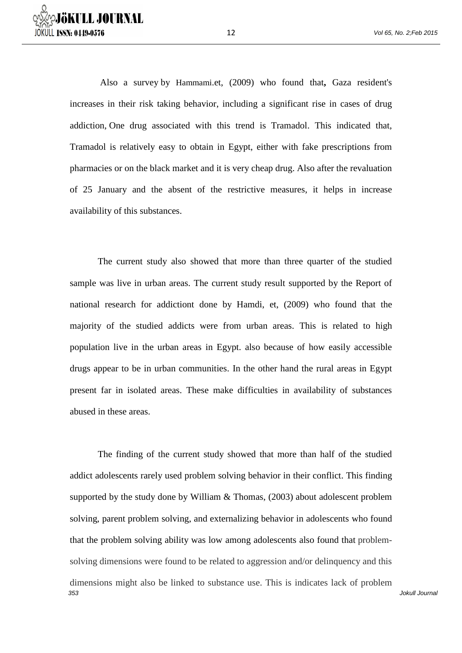Also a survey by Hammami.et, (2009) who found that**,** Gaza resident's increases in their risk taking behavior, including a significant rise in cases of drug addiction, One drug associated with this trend is Tramadol. This indicated that, Tramadol is relatively easy to obtain in Egypt, either with fake prescriptions from pharmacies or on the black market and it is very cheap drug. Also after the revaluation of 25 January and the absent of the restrictive measures, it helps in increase availability of this substances.

The current study also showed that more than three quarter of the studied sample was live in urban areas. The current study result supported by the Report of national research for addictiont done by Hamdi, et, (2009) who found that the majority of the studied addicts were from urban areas. This is related to high population live in the urban areas in Egypt. also because of how easily accessible drugs appear to be in urban communities. In the other hand the rural areas in Egypt present far in isolated areas. These make difficulties in availability of substances abused in these areas.

353 Jokull Journal The finding of the current study showed that more than half of the studied addict adolescents rarely used problem solving behavior in their conflict. This finding supported by the study done by William & Thomas, (2003) about adolescent problem solving, parent problem solving, and externalizing behavior in adolescents who found that the problem solving ability was low among adolescents also found that problemsolving dimensions were found to be related to aggression and/or delinquency and this dimensions might also be linked to substance use. This is indicates lack of problem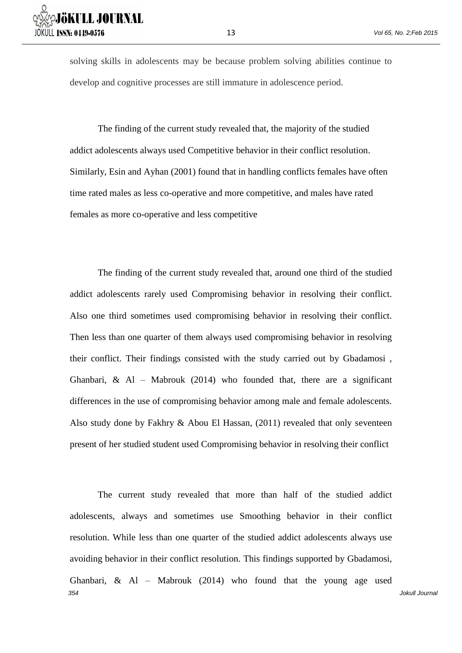solving skills in adolescents may be because problem solving abilities continue to develop and cognitive processes are still immature in adolescence period.

The finding of the current study revealed that, the majority of the studied addict adolescents always used Competitive behavior in their conflict resolution. Similarly, Esin and Ayhan (2001) found that in handling conflicts females have often time rated males as less co-operative and more competitive, and males have rated females as more co-operative and less competitive

The finding of the current study revealed that, around one third of the studied addict adolescents rarely used Compromising behavior in resolving their conflict. Also one third sometimes used compromising behavior in resolving their conflict. Then less than one quarter of them always used compromising behavior in resolving their conflict. Their findings consisted with the study carried out by Gbadamosi , Ghanbari,  $\&$  Al – Mabrouk (2014) who founded that, there are a significant differences in the use of compromising behavior among male and female adolescents. Also study done by Fakhry & Abou El Hassan, (2011) revealed that only seventeen present of her studied student used Compromising behavior in resolving their conflict

354 Jokull Journal The current study revealed that more than half of the studied addict adolescents, always and sometimes use Smoothing behavior in their conflict resolution. While less than one quarter of the studied addict adolescents always use avoiding behavior in their conflict resolution. This findings supported by Gbadamosi, Ghanbari, & Al – Mabrouk (2014) who found that the young age used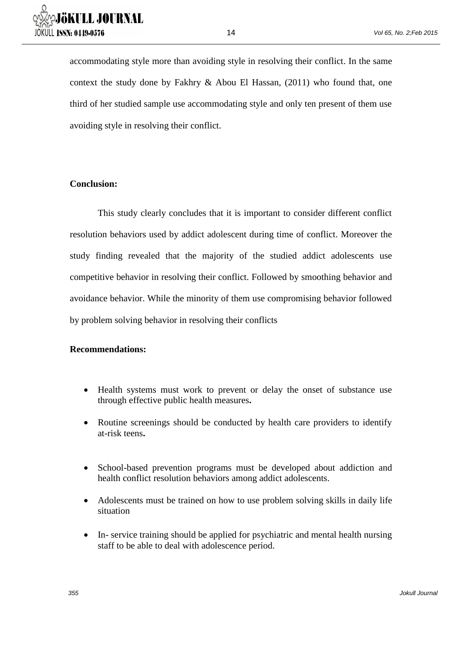accommodating style more than avoiding style in resolving their conflict. In the same context the study done by Fakhry  $\&$  Abou El Hassan, (2011) who found that, one third of her studied sample use accommodating style and only ten present of them use avoiding style in resolving their conflict.

14

# **Conclusion:**

This study clearly concludes that it is important to consider different conflict resolution behaviors used by addict adolescent during time of conflict. Moreover the study finding revealed that the majority of the studied addict adolescents use competitive behavior in resolving their conflict. Followed by smoothing behavior and avoidance behavior. While the minority of them use compromising behavior followed by problem solving behavior in resolving their conflicts

## **Recommendations:**

- Health systems must work to prevent or delay the onset of substance use through effective public health measures**.**
- Routine screenings should be conducted by health care providers to identify at-risk teens**.**
- School-based prevention programs must be developed about addiction and health conflict resolution behaviors among addict adolescents.
- Adolescents must be trained on how to use problem solving skills in daily life situation
- In- service training should be applied for psychiatric and mental health nursing staff to be able to deal with adolescence period.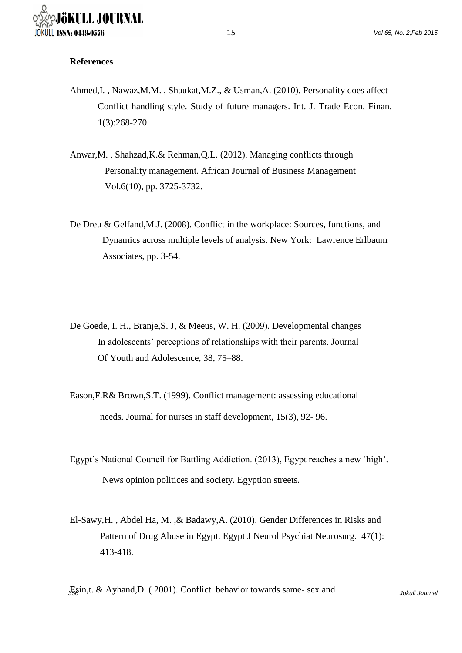## **References**

- Ahmed,I. , Nawaz,M.M. , Shaukat,M.Z., & Usman,A. (2010). Personality does affect Conflict handling style. Study of future managers. Int. J. Trade Econ. Finan. 1(3):268-270.
- Anwar,M. , Shahzad,K.& Rehman,Q.L. (2012). Managing conflicts through Personality management. African Journal of Business Management Vol.6(10), pp. 3725-3732.
- De Dreu & Gelfand,M.J. (2008). Conflict in the workplace: Sources, functions, and Dynamics across multiple levels of analysis. New York: Lawrence Erlbaum Associates, pp. 3-54.
- De Goede, I. H., Branje,S. J, & Meeus, W. H. (2009). Developmental changes In adolescents' perceptions of relationships with their parents. Journal Of Youth and Adolescence, 38, 75–88.
- Eason,F.R& Brown,S.T. (1999). Conflict management: assessing educational needs. Journal for nurses in staff development, 15(3), 92- 96.
- Egypt's National Council for Battling Addiction. (2013), Egypt reaches a new 'high'. News opinion politices and society. Egyption streets.
- El-Sawy,H. , Abdel Ha, M. ,& Badawy,A. (2010). Gender Differences in Risks and Pattern of Drug Abuse in Egypt. Egypt J Neurol Psychiat Neurosurg. 47(1): 413-418.

356 Jokull Journal Esin,t. & Ayhand,D. ( 2001). Conflict behavior towards same- sex and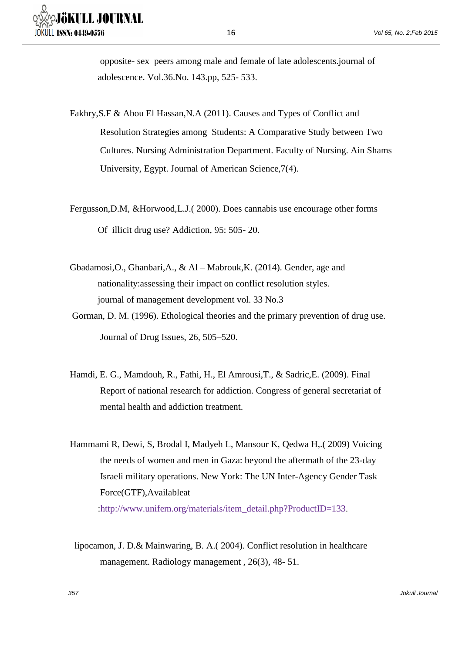opposite- sex peers among male and female of late adolescents.journal of adolescence. Vol.36.No. 143.pp, 525- 533.

- Fakhry,S.F & Abou El Hassan,N.A (2011). Causes and Types of Conflict and Resolution Strategies among Students: A Comparative Study between Two Cultures. Nursing Administration Department. Faculty of Nursing. Ain Shams University, Egypt. Journal of American Science,7(4).
- Fergusson,D.M, &Horwood,L.J.( 2000). Does cannabis use encourage other forms Of illicit drug use? Addiction, 95: 505- 20.
- Gbadamosi,O., Ghanbari,A., & Al Mabrouk,K. (2014). Gender, age and nationality:assessing their impact on conflict resolution styles. journal of management development vol. 33 No.3
- Gorman, D. M. (1996). Ethological theories and the primary prevention of drug use. Journal of Drug Issues, 26, 505–520.
- Hamdi, E. G., Mamdouh, R., Fathi, H., El Amrousi,T., & Sadric,E. (2009). Final Report of national research for addiction. Congress of general secretariat of mental health and addiction treatment.
- Hammami R, Dewi, S, Brodal I, Madyeh L, Mansour K, Qedwa H,.( 2009) Voicing the needs of women and men in Gaza: beyond the aftermath of the 23-day Israeli military operations. New York: The UN Inter-Agency Gender Task Force(GTF),Availableat :http://www.unifem.org/materials/item\_detail.php?ProductID=133.
- lipocamon, J. D.& Mainwaring, B. A.( 2004). Conflict resolution in healthcare management. Radiology management, 26(3), 48-51.